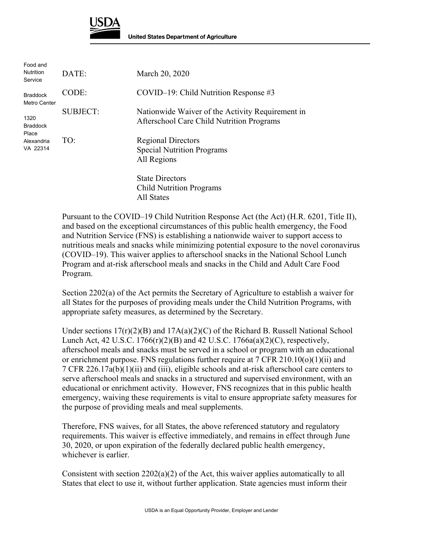

| Food and<br><b>Nutrition</b><br>Service                    | DATE:           | March 20, 2020                                                                                |
|------------------------------------------------------------|-----------------|-----------------------------------------------------------------------------------------------|
| <b>Braddock</b><br>Metro Center                            | CODE:           | $COVID-19$ : Child Nutrition Response #3                                                      |
| 1320<br><b>Braddock</b><br>Place<br>Alexandria<br>VA 22314 | <b>SUBJECT:</b> | Nationwide Waiver of the Activity Requirement in<br>Afterschool Care Child Nutrition Programs |
|                                                            | TO:             | <b>Regional Directors</b><br><b>Special Nutrition Programs</b><br>All Regions                 |
|                                                            |                 | <b>State Directors</b><br><b>Child Nutrition Programs</b><br>All States                       |

Pursuant to the COVID–19 Child Nutrition Response Act (the Act) (H.R. 6201, Title II), and based on the exceptional circumstances of this public health emergency, the Food and Nutrition Service (FNS) is establishing a nationwide waiver to support access to nutritious meals and snacks while minimizing potential exposure to the novel coronavirus (COVID–19). This waiver applies to afterschool snacks in the National School Lunch Program and at-risk afterschool meals and snacks in the Child and Adult Care Food Program.

Section 2202(a) of the Act permits the Secretary of Agriculture to establish a waiver for all States for the purposes of providing meals under the Child Nutrition Programs, with appropriate safety measures, as determined by the Secretary.

Under sections  $17(r)(2)(B)$  and  $17A(a)(2)(C)$  of the Richard B. Russell National School Lunch Act, 42 U.S.C. 1766(r)(2)(B) and 42 U.S.C. 1766a(a)(2)(C), respectively, afterschool meals and snacks must be served in a school or program with an educational or enrichment purpose. FNS regulations further require at 7 CFR 210.10(o)(1)(ii) and 7 CFR 226.17a(b)(1)(ii) and (iii), eligible schools and at-risk afterschool care centers to serve afterschool meals and snacks in a structured and supervised environment, with an educational or enrichment activity. However, FNS recognizes that in this public health emergency, waiving these requirements is vital to ensure appropriate safety measures for the purpose of providing meals and meal supplements.

Therefore, FNS waives, for all States, the above referenced statutory and regulatory requirements. This waiver is effective immediately, and remains in effect through June 30, 2020, or upon expiration of the federally declared public health emergency, whichever is earlier.

Consistent with section  $2202(a)(2)$  of the Act, this waiver applies automatically to all States that elect to use it, without further application. State agencies must inform their